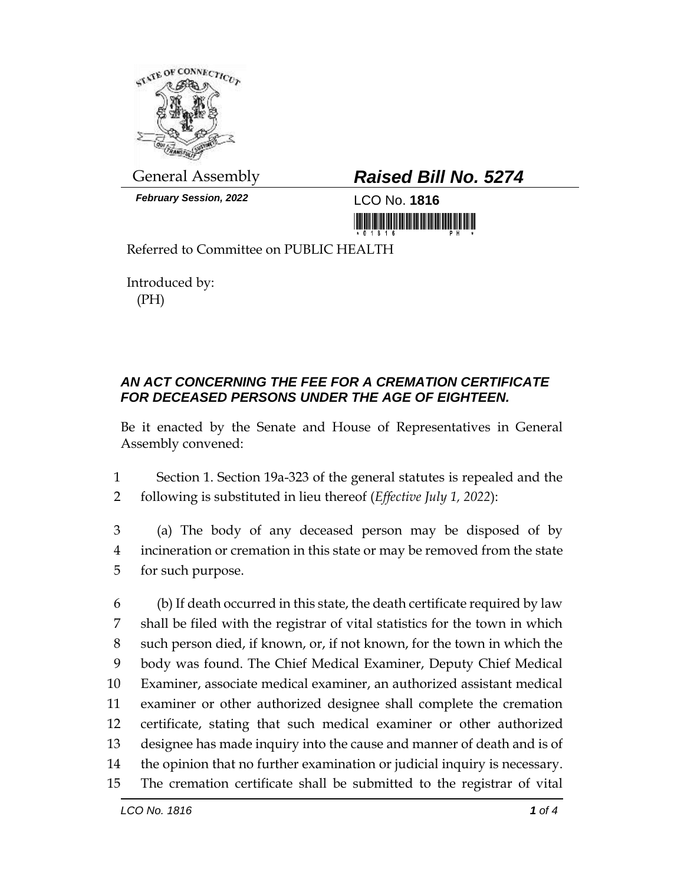

*February Session, 2022* LCO No. **1816**

## General Assembly *Raised Bill No. 5274*

<u> III maarta maanda ka mid maanda maanda maanda m</u>

Referred to Committee on PUBLIC HEALTH

Introduced by: (PH)

## *AN ACT CONCERNING THE FEE FOR A CREMATION CERTIFICATE FOR DECEASED PERSONS UNDER THE AGE OF EIGHTEEN.*

Be it enacted by the Senate and House of Representatives in General Assembly convened:

1 Section 1. Section 19a-323 of the general statutes is repealed and the 2 following is substituted in lieu thereof (*Effective July 1, 2022*):

3 (a) The body of any deceased person may be disposed of by 4 incineration or cremation in this state or may be removed from the state 5 for such purpose.

 (b) If death occurred in this state, the death certificate required by law shall be filed with the registrar of vital statistics for the town in which such person died, if known, or, if not known, for the town in which the body was found. The Chief Medical Examiner, Deputy Chief Medical Examiner, associate medical examiner, an authorized assistant medical examiner or other authorized designee shall complete the cremation certificate, stating that such medical examiner or other authorized designee has made inquiry into the cause and manner of death and is of the opinion that no further examination or judicial inquiry is necessary. The cremation certificate shall be submitted to the registrar of vital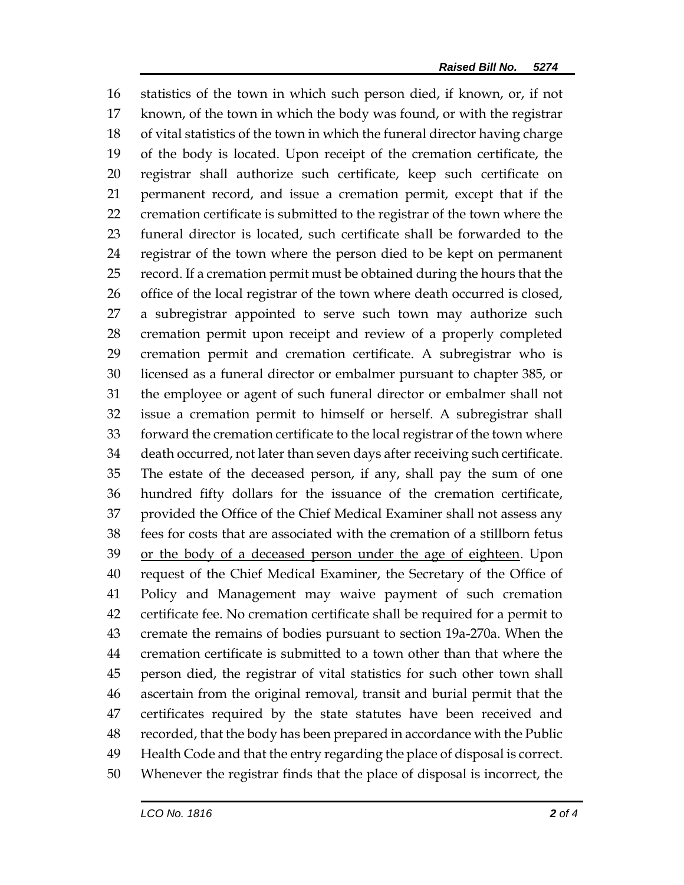statistics of the town in which such person died, if known, or, if not known, of the town in which the body was found, or with the registrar of vital statistics of the town in which the funeral director having charge of the body is located. Upon receipt of the cremation certificate, the registrar shall authorize such certificate, keep such certificate on permanent record, and issue a cremation permit, except that if the cremation certificate is submitted to the registrar of the town where the funeral director is located, such certificate shall be forwarded to the registrar of the town where the person died to be kept on permanent record. If a cremation permit must be obtained during the hours that the 26 office of the local registrar of the town where death occurred is closed, a subregistrar appointed to serve such town may authorize such cremation permit upon receipt and review of a properly completed cremation permit and cremation certificate. A subregistrar who is licensed as a funeral director or embalmer pursuant to chapter 385, or the employee or agent of such funeral director or embalmer shall not issue a cremation permit to himself or herself. A subregistrar shall forward the cremation certificate to the local registrar of the town where death occurred, not later than seven days after receiving such certificate. The estate of the deceased person, if any, shall pay the sum of one hundred fifty dollars for the issuance of the cremation certificate, provided the Office of the Chief Medical Examiner shall not assess any fees for costs that are associated with the cremation of a stillborn fetus or the body of a deceased person under the age of eighteen. Upon request of the Chief Medical Examiner, the Secretary of the Office of Policy and Management may waive payment of such cremation certificate fee. No cremation certificate shall be required for a permit to cremate the remains of bodies pursuant to section 19a-270a. When the cremation certificate is submitted to a town other than that where the person died, the registrar of vital statistics for such other town shall ascertain from the original removal, transit and burial permit that the certificates required by the state statutes have been received and recorded, that the body has been prepared in accordance with the Public Health Code and that the entry regarding the place of disposal is correct. Whenever the registrar finds that the place of disposal is incorrect, the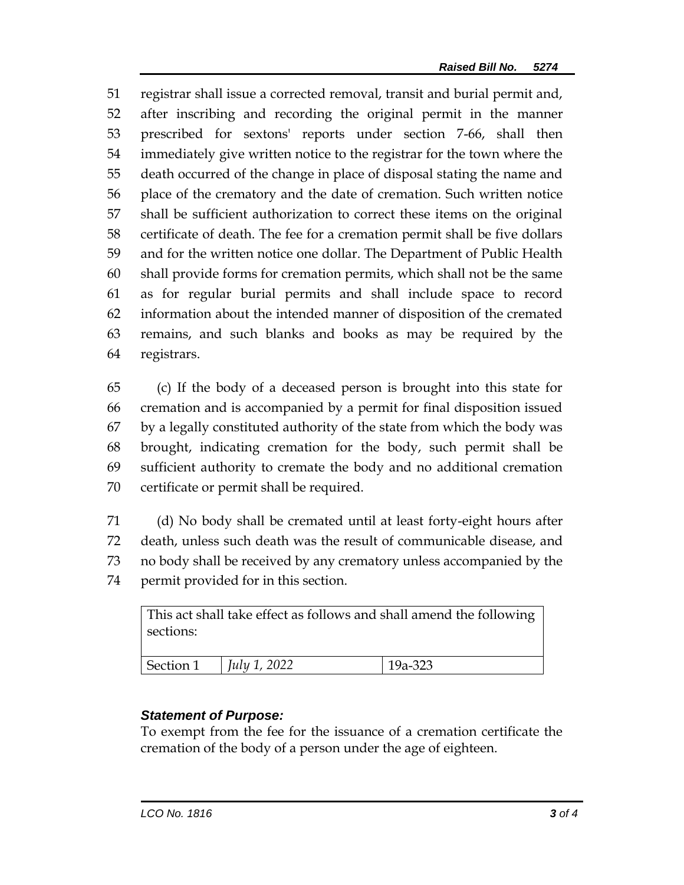registrar shall issue a corrected removal, transit and burial permit and, after inscribing and recording the original permit in the manner prescribed for sextons' reports under section 7-66, shall then immediately give written notice to the registrar for the town where the death occurred of the change in place of disposal stating the name and place of the crematory and the date of cremation. Such written notice shall be sufficient authorization to correct these items on the original certificate of death. The fee for a cremation permit shall be five dollars and for the written notice one dollar. The Department of Public Health shall provide forms for cremation permits, which shall not be the same as for regular burial permits and shall include space to record information about the intended manner of disposition of the cremated remains, and such blanks and books as may be required by the registrars.

 (c) If the body of a deceased person is brought into this state for cremation and is accompanied by a permit for final disposition issued by a legally constituted authority of the state from which the body was brought, indicating cremation for the body, such permit shall be sufficient authority to cremate the body and no additional cremation certificate or permit shall be required.

 (d) No body shall be cremated until at least forty-eight hours after death, unless such death was the result of communicable disease, and no body shall be received by any crematory unless accompanied by the permit provided for in this section.

| This act shall take effect as follows and shall amend the following |                     |         |
|---------------------------------------------------------------------|---------------------|---------|
| sections:                                                           |                     |         |
|                                                                     |                     |         |
| Section 1                                                           | <i>July 1, 2022</i> | 19a-323 |

## *Statement of Purpose:*

To exempt from the fee for the issuance of a cremation certificate the cremation of the body of a person under the age of eighteen.